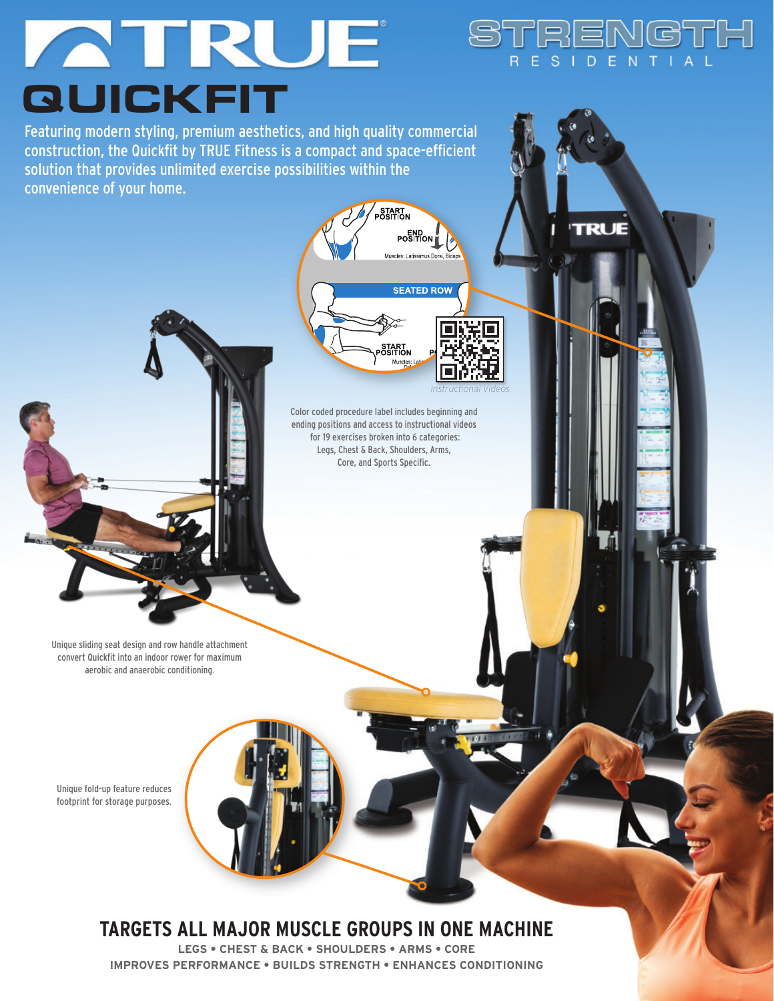# ATRUE **QUICKFIT**

Featuring modern styling, premium aesthetics, and high quality commercial construction, the Quickfit by TRUE Fitness is a compact and space-efficient solution that provides unlimited exercise possibilities within the convenience of your home.

Unique fold-up feature reduces footprint for storage purposes.

Unique sliding seat design and row handle attachment convert Quickfit into an indoor rower for maximum aerobic and anaerobic conditioning.



Color coded procedure label includes beginning and ending positions and access to instructional videos for 19 exercises broken into 6 categories: Legs, Chest & Back, Shoulders, Arms, Core, and Sports Specific.

START<br>OSITION Muscles:

**START** 

**END**<br>POSITION Museles: Latissimus Dorsi

**SEATED ROW** 

*Instructional Videos*

STRENGTH R E S I D E N T I A L

**LEGS • CHEST & BACK • SHOULDERS • ARMS • CORE IMPROVES PERFORMANCE • BUILDS STRENGTH • ENHANCES CONDITIONING**